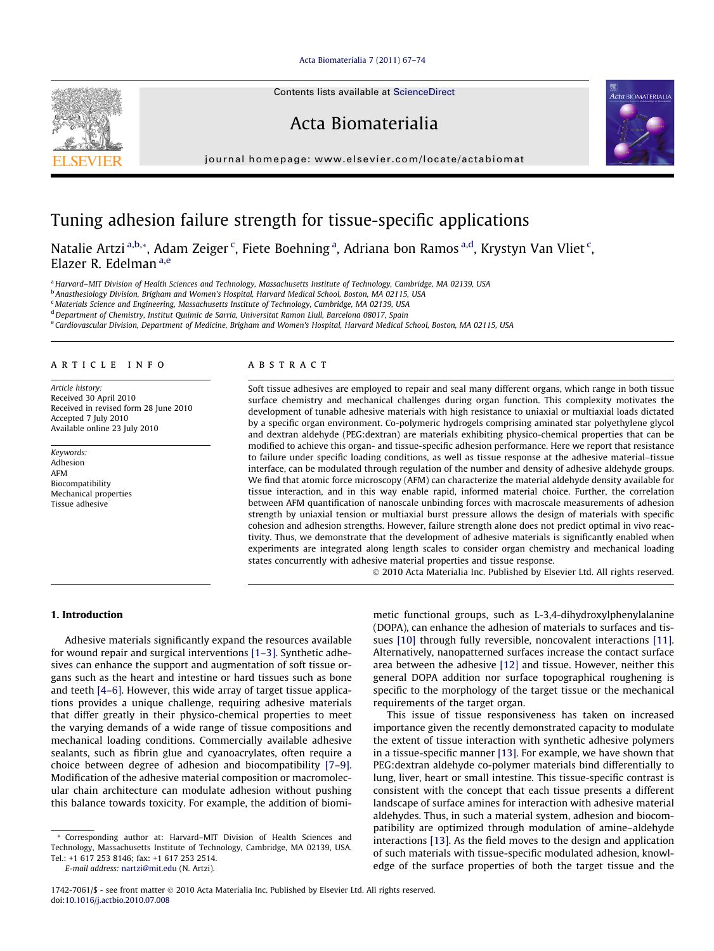# [Acta Biomaterialia 7 \(2011\) 67–74](http://dx.doi.org/10.1016/j.actbio.2010.07.008)



Contents lists available at [ScienceDirect](http://www.sciencedirect.com/science/journal/17427061)

Acta Biomaterialia



journal homepage: [www.elsevier.com/locate/actabiomat](http://www.elsevier.com/locate/actabiomat)

# Tuning adhesion failure strength for tissue-specific applications

Natalie Artzi<sup>a,b,</sup>\*, Adam Zeiger <sup>c</sup>, Fiete Boehning <sup>a</sup>, Adriana bon Ramos <sup>a,d</sup>, Krystyn Van Vliet <sup>c</sup>, Elazer R. Edelman a,e

a Harvard-MIT Division of Health Sciences and Technology, Massachusetts Institute of Technology, Cambridge, MA 02139, USA

<sup>b</sup> Anasthesiology Division, Brigham and Women's Hospital, Harvard Medical School, Boston, MA 02115, USA

<sup>c</sup> Materials Science and Engineering, Massachusetts Institute of Technology, Cambridge, MA 02139, USA

<sup>d</sup> Department of Chemistry, Institut Quimic de Sarria, Universitat Ramon Llull, Barcelona 08017, Spain

<sup>e</sup> Cardiovascular Division, Department of Medicine, Brigham and Women's Hospital, Harvard Medical School, Boston, MA 02115, USA

## article info

Article history: Received 30 April 2010 Received in revised form 28 June 2010 Accepted 7 July 2010 Available online 23 July 2010

Keywords: Adhesion AFM Biocompatibility Mechanical properties Tissue adhesive

# ABSTRACT

Soft tissue adhesives are employed to repair and seal many different organs, which range in both tissue surface chemistry and mechanical challenges during organ function. This complexity motivates the development of tunable adhesive materials with high resistance to uniaxial or multiaxial loads dictated by a specific organ environment. Co-polymeric hydrogels comprising aminated star polyethylene glycol and dextran aldehyde (PEG:dextran) are materials exhibiting physico-chemical properties that can be modified to achieve this organ- and tissue-specific adhesion performance. Here we report that resistance to failure under specific loading conditions, as well as tissue response at the adhesive material–tissue interface, can be modulated through regulation of the number and density of adhesive aldehyde groups. We find that atomic force microscopy (AFM) can characterize the material aldehyde density available for tissue interaction, and in this way enable rapid, informed material choice. Further, the correlation between AFM quantification of nanoscale unbinding forces with macroscale measurements of adhesion strength by uniaxial tension or multiaxial burst pressure allows the design of materials with specific cohesion and adhesion strengths. However, failure strength alone does not predict optimal in vivo reactivity. Thus, we demonstrate that the development of adhesive materials is significantly enabled when experiments are integrated along length scales to consider organ chemistry and mechanical loading states concurrently with adhesive material properties and tissue response.

© 2010 Acta Materialia Inc. Published by Elsevier Ltd. All rights reserved.

# 1. Introduction

Adhesive materials significantly expand the resources available for wound repair and surgical interventions [\[1–3\].](#page-6-0) Synthetic adhesives can enhance the support and augmentation of soft tissue organs such as the heart and intestine or hard tissues such as bone and teeth [\[4–6\]](#page-6-0). However, this wide array of target tissue applications provides a unique challenge, requiring adhesive materials that differ greatly in their physico-chemical properties to meet the varying demands of a wide range of tissue compositions and mechanical loading conditions. Commercially available adhesive sealants, such as fibrin glue and cyanoacrylates, often require a choice between degree of adhesion and biocompatibility [\[7–9\].](#page-6-0) Modification of the adhesive material composition or macromolecular chain architecture can modulate adhesion without pushing this balance towards toxicity. For example, the addition of biomi-

\* Corresponding author at: Harvard–MIT Division of Health Sciences and Technology, Massachusetts Institute of Technology, Cambridge, MA 02139, USA. Tel.: +1 617 253 8146; fax: +1 617 253 2514.

E-mail address: [nartzi@mit.edu](mailto:nartzi@mit.edu) (N. Artzi).

metic functional groups, such as L-3,4-dihydroxylphenylalanine (DOPA), can enhance the adhesion of materials to surfaces and tissues [\[10\]](#page-7-0) through fully reversible, noncovalent interactions [\[11\].](#page-7-0) Alternatively, nanopatterned surfaces increase the contact surface area between the adhesive [\[12\]](#page-7-0) and tissue. However, neither this general DOPA addition nor surface topographical roughening is specific to the morphology of the target tissue or the mechanical requirements of the target organ.

This issue of tissue responsiveness has taken on increased importance given the recently demonstrated capacity to modulate the extent of tissue interaction with synthetic adhesive polymers in a tissue-specific manner [\[13\].](#page-7-0) For example, we have shown that PEG:dextran aldehyde co-polymer materials bind differentially to lung, liver, heart or small intestine. This tissue-specific contrast is consistent with the concept that each tissue presents a different landscape of surface amines for interaction with adhesive material aldehydes. Thus, in such a material system, adhesion and biocompatibility are optimized through modulation of amine–aldehyde interactions [\[13\]](#page-7-0). As the field moves to the design and application of such materials with tissue-specific modulated adhesion, knowledge of the surface properties of both the target tissue and the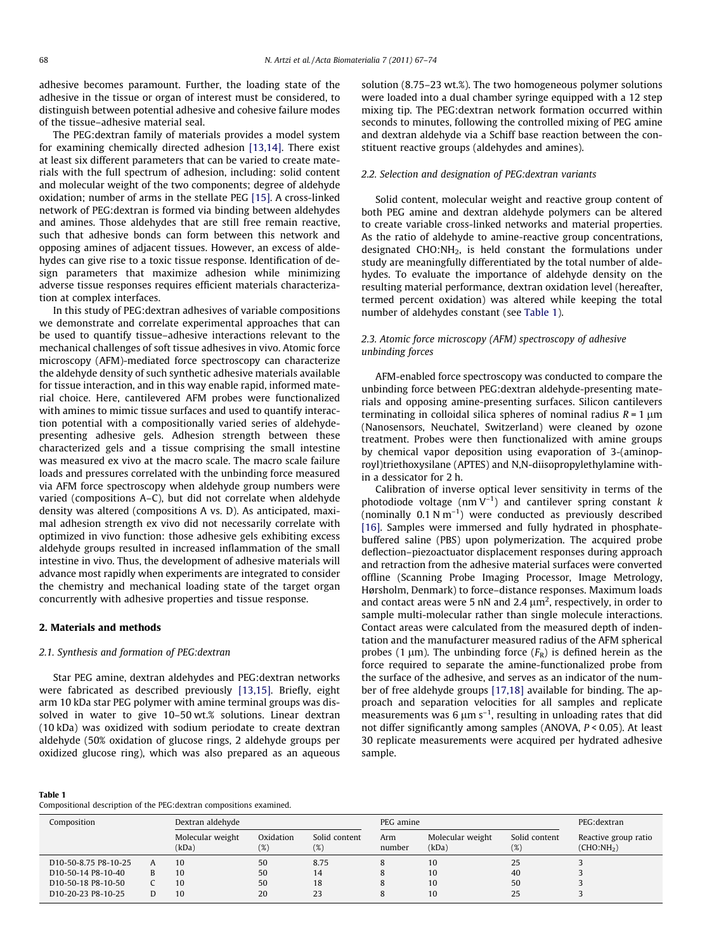<span id="page-1-0"></span>adhesive becomes paramount. Further, the loading state of the adhesive in the tissue or organ of interest must be considered, to distinguish between potential adhesive and cohesive failure modes of the tissue–adhesive material seal.

The PEG:dextran family of materials provides a model system for examining chemically directed adhesion [\[13,14\].](#page-7-0) There exist at least six different parameters that can be varied to create materials with the full spectrum of adhesion, including: solid content and molecular weight of the two components; degree of aldehyde oxidation; number of arms in the stellate PEG [\[15\]](#page-7-0). A cross-linked network of PEG:dextran is formed via binding between aldehydes and amines. Those aldehydes that are still free remain reactive, such that adhesive bonds can form between this network and opposing amines of adjacent tissues. However, an excess of aldehydes can give rise to a toxic tissue response. Identification of design parameters that maximize adhesion while minimizing adverse tissue responses requires efficient materials characterization at complex interfaces.

In this study of PEG:dextran adhesives of variable compositions we demonstrate and correlate experimental approaches that can be used to quantify tissue–adhesive interactions relevant to the mechanical challenges of soft tissue adhesives in vivo. Atomic force microscopy (AFM)-mediated force spectroscopy can characterize the aldehyde density of such synthetic adhesive materials available for tissue interaction, and in this way enable rapid, informed material choice. Here, cantilevered AFM probes were functionalized with amines to mimic tissue surfaces and used to quantify interaction potential with a compositionally varied series of aldehydepresenting adhesive gels. Adhesion strength between these characterized gels and a tissue comprising the small intestine was measured ex vivo at the macro scale. The macro scale failure loads and pressures correlated with the unbinding force measured via AFM force spectroscopy when aldehyde group numbers were varied (compositions A–C), but did not correlate when aldehyde density was altered (compositions A vs. D). As anticipated, maximal adhesion strength ex vivo did not necessarily correlate with optimized in vivo function: those adhesive gels exhibiting excess aldehyde groups resulted in increased inflammation of the small intestine in vivo. Thus, the development of adhesive materials will advance most rapidly when experiments are integrated to consider the chemistry and mechanical loading state of the target organ concurrently with adhesive properties and tissue response.

# 2. Materials and methods

# 2.1. Synthesis and formation of PEG:dextran

Star PEG amine, dextran aldehydes and PEG:dextran networks were fabricated as described previously [\[13,15\].](#page-7-0) Briefly, eight arm 10 kDa star PEG polymer with amine terminal groups was dissolved in water to give 10–50 wt.% solutions. Linear dextran (10 kDa) was oxidized with sodium periodate to create dextran aldehyde (50% oxidation of glucose rings, 2 aldehyde groups per oxidized glucose ring), which was also prepared as an aqueous solution (8.75–23 wt.%). The two homogeneous polymer solutions were loaded into a dual chamber syringe equipped with a 12 step mixing tip. The PEG:dextran network formation occurred within seconds to minutes, following the controlled mixing of PEG amine and dextran aldehyde via a Schiff base reaction between the constituent reactive groups (aldehydes and amines).

# 2.2. Selection and designation of PEG:dextran variants

Solid content, molecular weight and reactive group content of both PEG amine and dextran aldehyde polymers can be altered to create variable cross-linked networks and material properties. As the ratio of aldehyde to amine-reactive group concentrations, designated CHO:NH2, is held constant the formulations under study are meaningfully differentiated by the total number of aldehydes. To evaluate the importance of aldehyde density on the resulting material performance, dextran oxidation level (hereafter, termed percent oxidation) was altered while keeping the total number of aldehydes constant (see Table 1).

# 2.3. Atomic force microscopy (AFM) spectroscopy of adhesive unbinding forces

AFM-enabled force spectroscopy was conducted to compare the unbinding force between PEG:dextran aldehyde-presenting materials and opposing amine-presenting surfaces. Silicon cantilevers terminating in colloidal silica spheres of nominal radius  $R = 1 \mu m$ (Nanosensors, Neuchatel, Switzerland) were cleaned by ozone treatment. Probes were then functionalized with amine groups by chemical vapor deposition using evaporation of 3-(aminoproyl)triethoxysilane (APTES) and N,N-diisopropylethylamine within a dessicator for 2 h.

Calibration of inverse optical lever sensitivity in terms of the photodiode voltage (nm  $V^{-1}$ ) and cantilever spring constant k (nominally  $0.1 \text{ N m}^{-1}$ ) were conducted as previously described [\[16\]](#page-7-0). Samples were immersed and fully hydrated in phosphatebuffered saline (PBS) upon polymerization. The acquired probe deflection–piezoactuator displacement responses during approach and retraction from the adhesive material surfaces were converted offline (Scanning Probe Imaging Processor, Image Metrology, Hørsholm, Denmark) to force–distance responses. Maximum loads and contact areas were 5 nN and 2.4  $\mu$ m<sup>2</sup>, respectively, in order to sample multi-molecular rather than single molecule interactions. Contact areas were calculated from the measured depth of indentation and the manufacturer measured radius of the AFM spherical probes (1  $\mu$ m). The unbinding force ( $F_R$ ) is defined herein as the force required to separate the amine-functionalized probe from the surface of the adhesive, and serves as an indicator of the number of free aldehyde groups [\[17,18\]](#page-7-0) available for binding. The approach and separation velocities for all samples and replicate measurements was 6  $\mu$ m s<sup>-1</sup>, resulting in unloading rates that did not differ significantly among samples (ANOVA, P < 0.05). At least 30 replicate measurements were acquired per hydrated adhesive sample.

## Table 1

Compositional description of the PEG:dextran compositions examined.

| Composition                                    |   | Dextran aldehyde          |                  |                      | PEG amine     |                           |                         | PEG:dextran                                    |
|------------------------------------------------|---|---------------------------|------------------|----------------------|---------------|---------------------------|-------------------------|------------------------------------------------|
|                                                |   | Molecular weight<br>(kDa) | Oxidation<br>(%) | Solid content<br>(%) | Arm<br>number | Molecular weight<br>(kDa) | Solid content<br>$(\%)$ | Reactive group ratio<br>(CHO:NH <sub>2</sub> ) |
| D <sub>10</sub> -50-8.75 P <sub>8</sub> -10-25 |   | 10                        | 50               | 8.75                 | 8             | 10                        | 25                      |                                                |
| D <sub>10</sub> -50-14 P <sub>8</sub> -10-40   | B | 10                        | 50               | 14                   | 8             | 10                        | 40                      |                                                |
| D <sub>10</sub> -50-18 P <sub>8</sub> -10-50   |   | 10                        | 50               | 18                   | 8             | 10                        | 50                      |                                                |
| D <sub>10</sub> -20-23 P <sub>8</sub> -10-25   |   | 10                        | 20               | 23                   | 8             | 10                        | 25                      |                                                |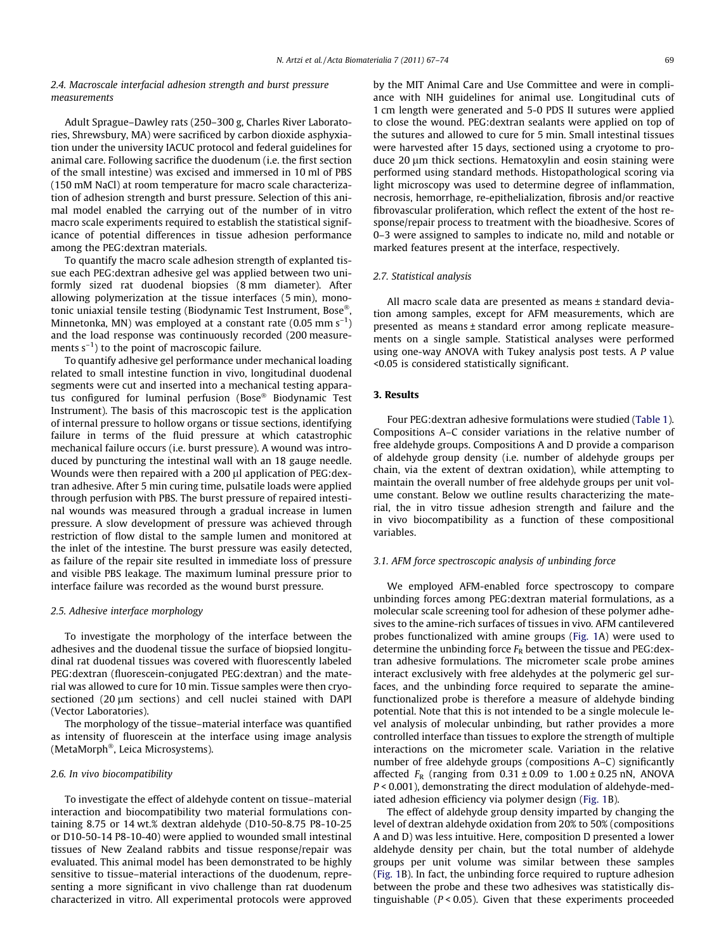## 2.4. Macroscale interfacial adhesion strength and burst pressure measurements

Adult Sprague–Dawley rats (250–300 g, Charles River Laboratories, Shrewsbury, MA) were sacrificed by carbon dioxide asphyxiation under the university IACUC protocol and federal guidelines for animal care. Following sacrifice the duodenum (i.e. the first section of the small intestine) was excised and immersed in 10 ml of PBS (150 mM NaCl) at room temperature for macro scale characterization of adhesion strength and burst pressure. Selection of this animal model enabled the carrying out of the number of in vitro macro scale experiments required to establish the statistical significance of potential differences in tissue adhesion performance among the PEG:dextran materials.

To quantify the macro scale adhesion strength of explanted tissue each PEG:dextran adhesive gel was applied between two uniformly sized rat duodenal biopsies (8 mm diameter). After allowing polymerization at the tissue interfaces (5 min), monotonic uniaxial tensile testing (Biodynamic Test Instrument, Bose®, Minnetonka, MN) was employed at a constant rate  $(0.05 \text{ mm s}^{-1})$ and the load response was continuously recorded (200 measurements  $s^{-1}$ ) to the point of macroscopic failure.

To quantify adhesive gel performance under mechanical loading related to small intestine function in vivo, longitudinal duodenal segments were cut and inserted into a mechanical testing apparatus configured for luminal perfusion (Bose® Biodynamic Test Instrument). The basis of this macroscopic test is the application of internal pressure to hollow organs or tissue sections, identifying failure in terms of the fluid pressure at which catastrophic mechanical failure occurs (i.e. burst pressure). A wound was introduced by puncturing the intestinal wall with an 18 gauge needle. Wounds were then repaired with a 200  $\mu$ l application of PEG:dextran adhesive. After 5 min curing time, pulsatile loads were applied through perfusion with PBS. The burst pressure of repaired intestinal wounds was measured through a gradual increase in lumen pressure. A slow development of pressure was achieved through restriction of flow distal to the sample lumen and monitored at the inlet of the intestine. The burst pressure was easily detected, as failure of the repair site resulted in immediate loss of pressure and visible PBS leakage. The maximum luminal pressure prior to interface failure was recorded as the wound burst pressure.

## 2.5. Adhesive interface morphology

To investigate the morphology of the interface between the adhesives and the duodenal tissue the surface of biopsied longitudinal rat duodenal tissues was covered with fluorescently labeled PEG:dextran (fluorescein-conjugated PEG:dextran) and the material was allowed to cure for 10 min. Tissue samples were then cryosectioned  $(20 \mu m$  sections) and cell nuclei stained with DAPI (Vector Laboratories).

The morphology of the tissue–material interface was quantified as intensity of fluorescein at the interface using image analysis (MetaMorph®, Leica Microsystems).

## 2.6. In vivo biocompatibility

To investigate the effect of aldehyde content on tissue–material interaction and biocompatibility two material formulations containing 8.75 or 14 wt.% dextran aldehyde (D10-50-8.75 P8-10-25 or D10-50-14 P8-10-40) were applied to wounded small intestinal tissues of New Zealand rabbits and tissue response/repair was evaluated. This animal model has been demonstrated to be highly sensitive to tissue–material interactions of the duodenum, representing a more significant in vivo challenge than rat duodenum characterized in vitro. All experimental protocols were approved by the MIT Animal Care and Use Committee and were in compliance with NIH guidelines for animal use. Longitudinal cuts of 1 cm length were generated and 5-0 PDS II sutures were applied to close the wound. PEG:dextran sealants were applied on top of the sutures and allowed to cure for 5 min. Small intestinal tissues were harvested after 15 days, sectioned using a cryotome to produce 20 µm thick sections. Hematoxylin and eosin staining were performed using standard methods. Histopathological scoring via light microscopy was used to determine degree of inflammation, necrosis, hemorrhage, re-epithelialization, fibrosis and/or reactive fibrovascular proliferation, which reflect the extent of the host response/repair process to treatment with the bioadhesive. Scores of 0–3 were assigned to samples to indicate no, mild and notable or marked features present at the interface, respectively.

## 2.7. Statistical analysis

All macro scale data are presented as means ± standard deviation among samples, except for AFM measurements, which are presented as means ± standard error among replicate measurements on a single sample. Statistical analyses were performed using one-way ANOVA with Tukey analysis post tests. A P value <0.05 is considered statistically significant.

# 3. Results

Four PEG:dextran adhesive formulations were studied ([Table 1\)](#page-1-0). Compositions A–C consider variations in the relative number of free aldehyde groups. Compositions A and D provide a comparison of aldehyde group density (i.e. number of aldehyde groups per chain, via the extent of dextran oxidation), while attempting to maintain the overall number of free aldehyde groups per unit volume constant. Below we outline results characterizing the material, the in vitro tissue adhesion strength and failure and the in vivo biocompatibility as a function of these compositional variables.

## 3.1. AFM force spectroscopic analysis of unbinding force

We employed AFM-enabled force spectroscopy to compare unbinding forces among PEG:dextran material formulations, as a molecular scale screening tool for adhesion of these polymer adhesives to the amine-rich surfaces of tissues in vivo. AFM cantilevered probes functionalized with amine groups [\(Fig. 1A](#page-3-0)) were used to determine the unbinding force  $F_R$  between the tissue and PEG:dextran adhesive formulations. The micrometer scale probe amines interact exclusively with free aldehydes at the polymeric gel surfaces, and the unbinding force required to separate the aminefunctionalized probe is therefore a measure of aldehyde binding potential. Note that this is not intended to be a single molecule level analysis of molecular unbinding, but rather provides a more controlled interface than tissues to explore the strength of multiple interactions on the micrometer scale. Variation in the relative number of free aldehyde groups (compositions A–C) significantly affected  $F_R$  (ranging from  $0.31 \pm 0.09$  to  $1.00 \pm 0.25$  nN, ANOVA P < 0.001), demonstrating the direct modulation of aldehyde-mediated adhesion efficiency via polymer design ([Fig. 1](#page-3-0)B).

The effect of aldehyde group density imparted by changing the level of dextran aldehyde oxidation from 20% to 50% (compositions A and D) was less intuitive. Here, composition D presented a lower aldehyde density per chain, but the total number of aldehyde groups per unit volume was similar between these samples ([Fig. 1B](#page-3-0)). In fact, the unbinding force required to rupture adhesion between the probe and these two adhesives was statistically distinguishable  $(P < 0.05)$ . Given that these experiments proceeded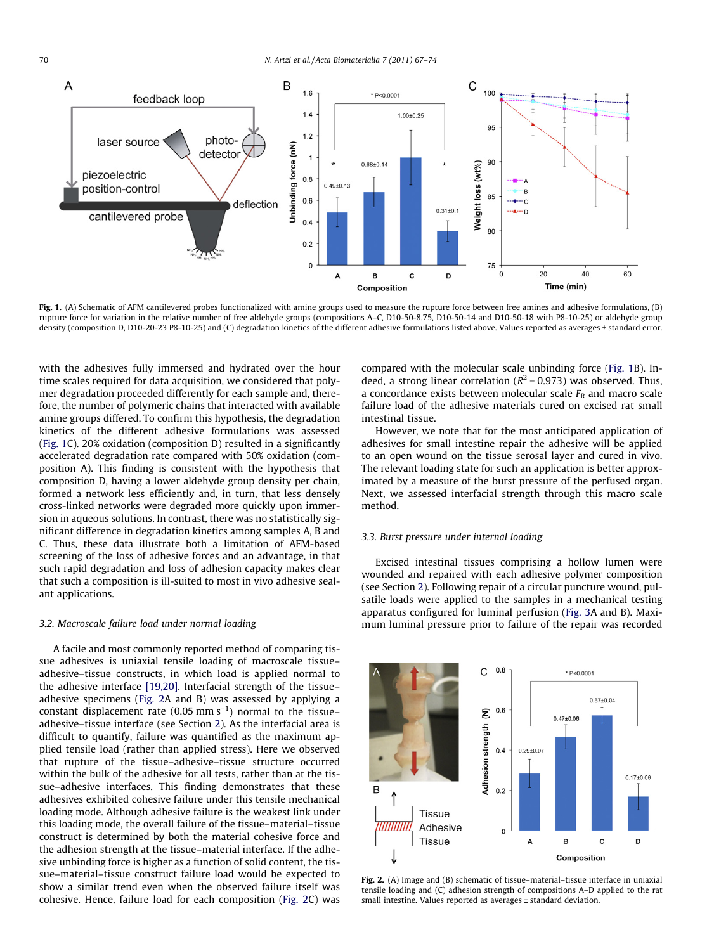<span id="page-3-0"></span>

Fig. 1. (A) Schematic of AFM cantilevered probes functionalized with amine groups used to measure the rupture force between free amines and adhesive formulations, (B) rupture force for variation in the relative number of free aldehyde groups (compositions A–C, D10-50-8.75, D10-50-14 and D10-50-18 with P8-10-25) or aldehyde group density (composition D, D10-20-23 P8-10-25) and (C) degradation kinetics of the different adhesive formulations listed above. Values reported as averages ± standard error.

with the adhesives fully immersed and hydrated over the hour time scales required for data acquisition, we considered that polymer degradation proceeded differently for each sample and, therefore, the number of polymeric chains that interacted with available amine groups differed. To confirm this hypothesis, the degradation kinetics of the different adhesive formulations was assessed (Fig. 1C). 20% oxidation (composition D) resulted in a significantly accelerated degradation rate compared with 50% oxidation (composition A). This finding is consistent with the hypothesis that composition D, having a lower aldehyde group density per chain, formed a network less efficiently and, in turn, that less densely cross-linked networks were degraded more quickly upon immersion in aqueous solutions. In contrast, there was no statistically significant difference in degradation kinetics among samples A, B and C. Thus, these data illustrate both a limitation of AFM-based screening of the loss of adhesive forces and an advantage, in that such rapid degradation and loss of adhesion capacity makes clear that such a composition is ill-suited to most in vivo adhesive sealant applications.

#### 3.2. Macroscale failure load under normal loading

A facile and most commonly reported method of comparing tissue adhesives is uniaxial tensile loading of macroscale tissue– adhesive–tissue constructs, in which load is applied normal to the adhesive interface [\[19,20\]](#page-7-0). Interfacial strength of the tissue– adhesive specimens (Fig. 2A and B) was assessed by applying a constant displacement rate (0.05 mm  $s^{-1}$ ) normal to the tissue– adhesive–tissue interface (see Section [2\)](#page-1-0). As the interfacial area is difficult to quantify, failure was quantified as the maximum applied tensile load (rather than applied stress). Here we observed that rupture of the tissue–adhesive–tissue structure occurred within the bulk of the adhesive for all tests, rather than at the tissue–adhesive interfaces. This finding demonstrates that these adhesives exhibited cohesive failure under this tensile mechanical loading mode. Although adhesive failure is the weakest link under this loading mode, the overall failure of the tissue–material–tissue construct is determined by both the material cohesive force and the adhesion strength at the tissue–material interface. If the adhesive unbinding force is higher as a function of solid content, the tissue–material–tissue construct failure load would be expected to show a similar trend even when the observed failure itself was cohesive. Hence, failure load for each composition (Fig. 2C) was compared with the molecular scale unbinding force (Fig. 1B). Indeed, a strong linear correlation ( $R^2$  = 0.973) was observed. Thus, a concordance exists between molecular scale  $F_R$  and macro scale failure load of the adhesive materials cured on excised rat small intestinal tissue.

However, we note that for the most anticipated application of adhesives for small intestine repair the adhesive will be applied to an open wound on the tissue serosal layer and cured in vivo. The relevant loading state for such an application is better approximated by a measure of the burst pressure of the perfused organ. Next, we assessed interfacial strength through this macro scale method.

# 3.3. Burst pressure under internal loading

Excised intestinal tissues comprising a hollow lumen were wounded and repaired with each adhesive polymer composition (see Section [2](#page-1-0)). Following repair of a circular puncture wound, pulsatile loads were applied to the samples in a mechanical testing apparatus configured for luminal perfusion [\(Fig. 3A](#page-4-0) and B). Maximum luminal pressure prior to failure of the repair was recorded



Fig. 2. (A) Image and (B) schematic of tissue–material–tissue interface in uniaxial tensile loading and (C) adhesion strength of compositions A–D applied to the rat small intestine. Values reported as averages ± standard deviation.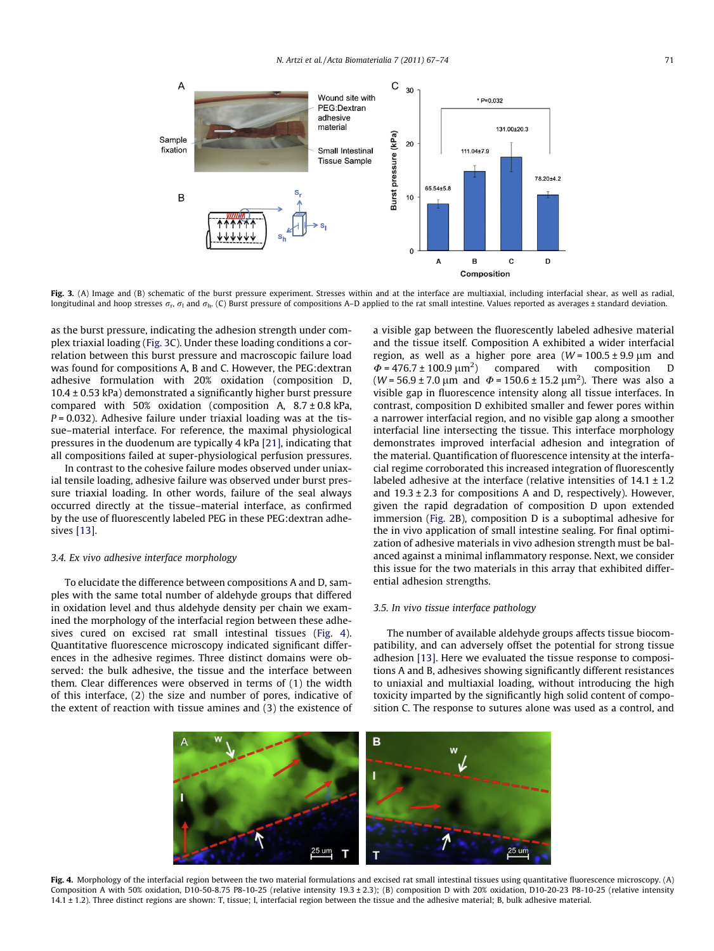<span id="page-4-0"></span>

Fig. 3. (A) Image and (B) schematic of the burst pressure experiment. Stresses within and at the interface are multiaxial, including interfacial shear, as well as radial, longitudinal and hoop stresses  $\sigma_r$ ,  $\sigma_l$  and  $\sigma_h$ . (C) Burst pressure of compositions A–D applied to the rat small intestine. Values reported as averages ± standard deviation.

as the burst pressure, indicating the adhesion strength under complex triaxial loading (Fig. 3C). Under these loading conditions a correlation between this burst pressure and macroscopic failure load was found for compositions A, B and C. However, the PEG:dextran adhesive formulation with 20% oxidation (composition D,  $10.4 \pm 0.53$  kPa) demonstrated a significantly higher burst pressure compared with 50% oxidation (composition A,  $8.7 \pm 0.8$  kPa,  $P = 0.032$ ). Adhesive failure under triaxial loading was at the tissue–material interface. For reference, the maximal physiological pressures in the duodenum are typically 4 kPa [\[21\]](#page-7-0), indicating that all compositions failed at super-physiological perfusion pressures.

In contrast to the cohesive failure modes observed under uniaxial tensile loading, adhesive failure was observed under burst pressure triaxial loading. In other words, failure of the seal always occurred directly at the tissue–material interface, as confirmed by the use of fluorescently labeled PEG in these PEG:dextran adhesives [\[13\]](#page-7-0).

# 3.4. Ex vivo adhesive interface morphology

To elucidate the difference between compositions A and D, samples with the same total number of aldehyde groups that differed in oxidation level and thus aldehyde density per chain we examined the morphology of the interfacial region between these adhesives cured on excised rat small intestinal tissues (Fig. 4). Quantitative fluorescence microscopy indicated significant differences in the adhesive regimes. Three distinct domains were observed: the bulk adhesive, the tissue and the interface between them. Clear differences were observed in terms of (1) the width of this interface, (2) the size and number of pores, indicative of the extent of reaction with tissue amines and (3) the existence of a visible gap between the fluorescently labeled adhesive material and the tissue itself. Composition A exhibited a wider interfacial region, as well as a higher pore area  $(W = 100.5 \pm 9.9 \mu m$  and  $\Phi$  = 476.7 ± 100.9  $\mu$ m<sup>2</sup>) ) compared with composition D (*W* = 56.9 ± 7.0 µm and  $\Phi$  = 150.6 ± 15.2 µm<sup>2</sup>). There was also a visible gap in fluorescence intensity along all tissue interfaces. In contrast, composition D exhibited smaller and fewer pores within a narrower interfacial region, and no visible gap along a smoother interfacial line intersecting the tissue. This interface morphology demonstrates improved interfacial adhesion and integration of the material. Quantification of fluorescence intensity at the interfacial regime corroborated this increased integration of fluorescently labeled adhesive at the interface (relative intensities of  $14.1 \pm 1.2$ ) and  $19.3 \pm 2.3$  for compositions A and D, respectively). However, given the rapid degradation of composition D upon extended immersion ([Fig. 2B](#page-3-0)), composition D is a suboptimal adhesive for the in vivo application of small intestine sealing. For final optimization of adhesive materials in vivo adhesion strength must be balanced against a minimal inflammatory response. Next, we consider this issue for the two materials in this array that exhibited differential adhesion strengths.

## 3.5. In vivo tissue interface pathology

The number of available aldehyde groups affects tissue biocompatibility, and can adversely offset the potential for strong tissue adhesion [\[13\].](#page-7-0) Here we evaluated the tissue response to compositions A and B, adhesives showing significantly different resistances to uniaxial and multiaxial loading, without introducing the high toxicity imparted by the significantly high solid content of composition C. The response to sutures alone was used as a control, and



Fig. 4. Morphology of the interfacial region between the two material formulations and excised rat small intestinal tissues using quantitative fluorescence microscopy. (A) Composition A with 50% oxidation, D10-50-8.75 P8-10-25 (relative intensity 19.3 ± 2.3); (B) composition D with 20% oxidation, D10-20-23 P8-10-25 (relative intensity 14.1 ± 1.2). Three distinct regions are shown: T, tissue; I, interfacial region between the tissue and the adhesive material; B, bulk adhesive material.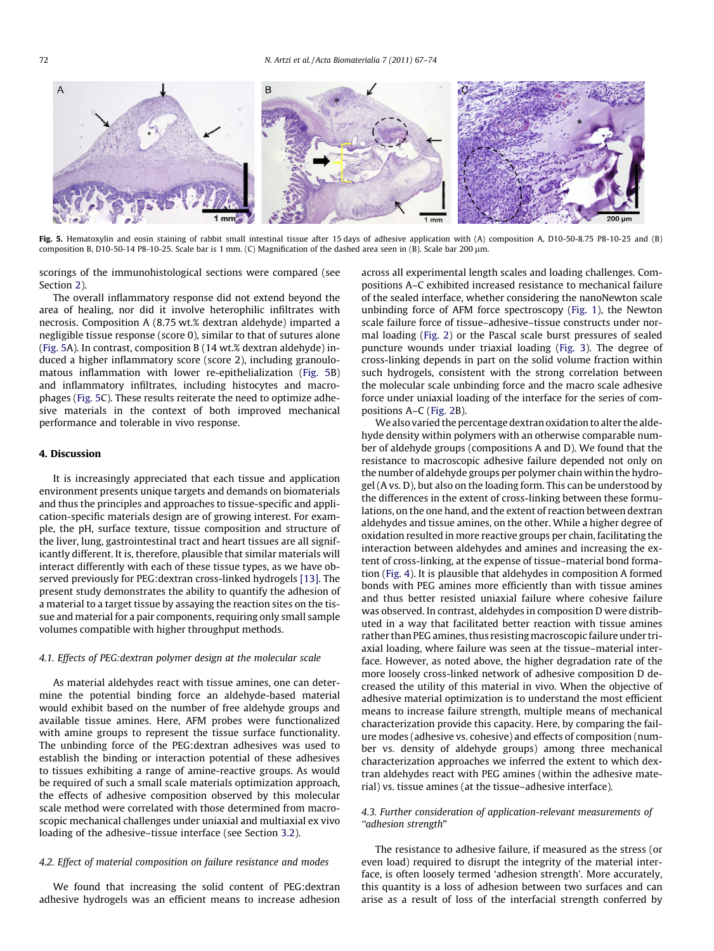

Fig. 5. Hematoxylin and eosin staining of rabbit small intestinal tissue after 15 days of adhesive application with (A) composition A, D10-50-8.75 P8-10-25 and (B) composition B, D10-50-14 P8-10-25. Scale bar is 1 mm. (C) Magnification of the dashed area seen in (B). Scale bar 200 µm.

scorings of the immunohistological sections were compared (see Section [2\)](#page-1-0).

The overall inflammatory response did not extend beyond the area of healing, nor did it involve heterophilic infiltrates with necrosis. Composition A (8.75 wt.% dextran aldehyde) imparted a negligible tissue response (score 0), similar to that of sutures alone (Fig. 5A). In contrast, composition B (14 wt.% dextran aldehyde) induced a higher inflammatory score (score 2), including granoulomatous inflammation with lower re-epithelialization (Fig. 5B) and inflammatory infiltrates, including histocytes and macrophages (Fig. 5C). These results reiterate the need to optimize adhesive materials in the context of both improved mechanical performance and tolerable in vivo response.

# 4. Discussion

It is increasingly appreciated that each tissue and application environment presents unique targets and demands on biomaterials and thus the principles and approaches to tissue-specific and application-specific materials design are of growing interest. For example, the pH, surface texture, tissue composition and structure of the liver, lung, gastrointestinal tract and heart tissues are all significantly different. It is, therefore, plausible that similar materials will interact differently with each of these tissue types, as we have observed previously for PEG:dextran cross-linked hydrogels [\[13\].](#page-7-0) The present study demonstrates the ability to quantify the adhesion of a material to a target tissue by assaying the reaction sites on the tissue and material for a pair components, requiring only small sample volumes compatible with higher throughput methods.

## 4.1. Effects of PEG:dextran polymer design at the molecular scale

As material aldehydes react with tissue amines, one can determine the potential binding force an aldehyde-based material would exhibit based on the number of free aldehyde groups and available tissue amines. Here, AFM probes were functionalized with amine groups to represent the tissue surface functionality. The unbinding force of the PEG:dextran adhesives was used to establish the binding or interaction potential of these adhesives to tissues exhibiting a range of amine-reactive groups. As would be required of such a small scale materials optimization approach, the effects of adhesive composition observed by this molecular scale method were correlated with those determined from macroscopic mechanical challenges under uniaxial and multiaxial ex vivo loading of the adhesive–tissue interface (see Section [3.2](#page-3-0)).

## 4.2. Effect of material composition on failure resistance and modes

We found that increasing the solid content of PEG:dextran adhesive hydrogels was an efficient means to increase adhesion across all experimental length scales and loading challenges. Compositions A–C exhibited increased resistance to mechanical failure of the sealed interface, whether considering the nanoNewton scale unbinding force of AFM force spectroscopy ([Fig. 1](#page-3-0)), the Newton scale failure force of tissue–adhesive–tissue constructs under normal loading ([Fig. 2\)](#page-3-0) or the Pascal scale burst pressures of sealed puncture wounds under triaxial loading ([Fig. 3\)](#page-4-0). The degree of cross-linking depends in part on the solid volume fraction within such hydrogels, consistent with the strong correlation between the molecular scale unbinding force and the macro scale adhesive force under uniaxial loading of the interface for the series of compositions A–C [\(Fig. 2B](#page-3-0)).

We also varied the percentage dextran oxidation to alter the aldehyde density within polymers with an otherwise comparable number of aldehyde groups (compositions A and D). We found that the resistance to macroscopic adhesive failure depended not only on the number of aldehyde groups per polymer chain within the hydrogel (A vs. D), but also on the loading form. This can be understood by the differences in the extent of cross-linking between these formulations, on the one hand, and the extent of reaction between dextran aldehydes and tissue amines, on the other. While a higher degree of oxidation resulted in more reactive groups per chain, facilitating the interaction between aldehydes and amines and increasing the extent of cross-linking, at the expense of tissue–material bond formation [\(Fig. 4](#page-4-0)). It is plausible that aldehydes in composition A formed bonds with PEG amines more efficiently than with tissue amines and thus better resisted uniaxial failure where cohesive failure was observed. In contrast, aldehydes in composition D were distributed in a way that facilitated better reaction with tissue amines rather than PEG amines, thus resisting macroscopic failure under triaxial loading, where failure was seen at the tissue–material interface. However, as noted above, the higher degradation rate of the more loosely cross-linked network of adhesive composition D decreased the utility of this material in vivo. When the objective of adhesive material optimization is to understand the most efficient means to increase failure strength, multiple means of mechanical characterization provide this capacity. Here, by comparing the failure modes (adhesive vs. cohesive) and effects of composition (number vs. density of aldehyde groups) among three mechanical characterization approaches we inferred the extent to which dextran aldehydes react with PEG amines (within the adhesive material) vs. tissue amines (at the tissue–adhesive interface).

# 4.3. Further consideration of application-relevant measurements of ''adhesion strength"

The resistance to adhesive failure, if measured as the stress (or even load) required to disrupt the integrity of the material interface, is often loosely termed 'adhesion strength'. More accurately, this quantity is a loss of adhesion between two surfaces and can arise as a result of loss of the interfacial strength conferred by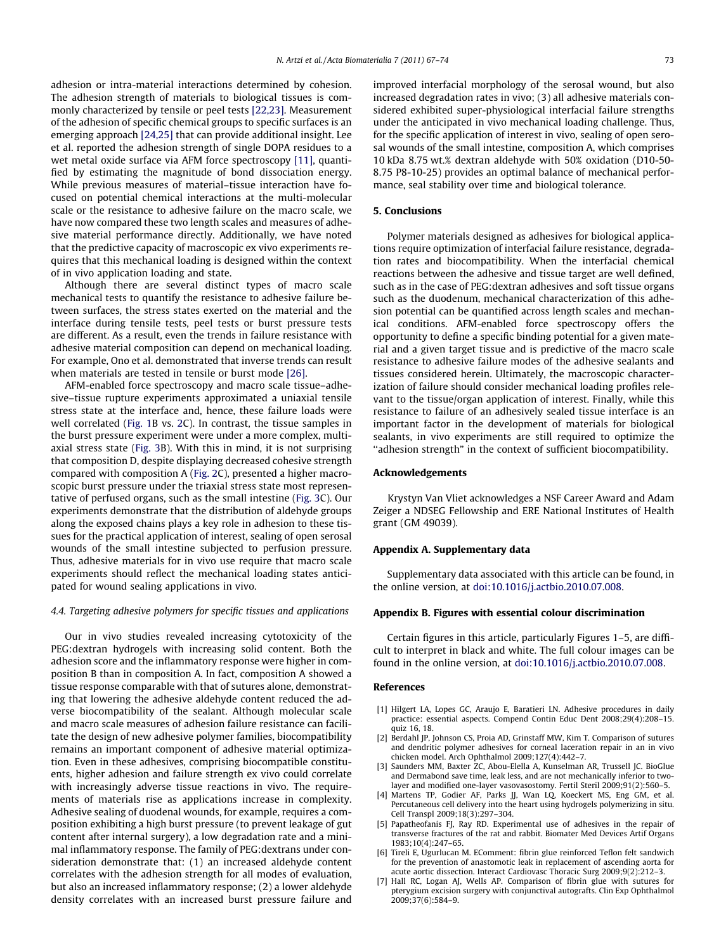<span id="page-6-0"></span>adhesion or intra-material interactions determined by cohesion. The adhesion strength of materials to biological tissues is commonly characterized by tensile or peel tests [\[22,23\]](#page-7-0). Measurement of the adhesion of specific chemical groups to specific surfaces is an emerging approach [\[24,25\]](#page-7-0) that can provide additional insight. Lee et al. reported the adhesion strength of single DOPA residues to a wet metal oxide surface via AFM force spectroscopy [\[11\]](#page-7-0), quantified by estimating the magnitude of bond dissociation energy. While previous measures of material–tissue interaction have focused on potential chemical interactions at the multi-molecular scale or the resistance to adhesive failure on the macro scale, we have now compared these two length scales and measures of adhesive material performance directly. Additionally, we have noted that the predictive capacity of macroscopic ex vivo experiments requires that this mechanical loading is designed within the context of in vivo application loading and state.

Although there are several distinct types of macro scale mechanical tests to quantify the resistance to adhesive failure between surfaces, the stress states exerted on the material and the interface during tensile tests, peel tests or burst pressure tests are different. As a result, even the trends in failure resistance with adhesive material composition can depend on mechanical loading. For example, Ono et al. demonstrated that inverse trends can result when materials are tested in tensile or burst mode [\[26\].](#page-7-0)

AFM-enabled force spectroscopy and macro scale tissue–adhesive–tissue rupture experiments approximated a uniaxial tensile stress state at the interface and, hence, these failure loads were well correlated [\(Fig. 1B](#page-3-0) vs. [2C](#page-3-0)). In contrast, the tissue samples in the burst pressure experiment were under a more complex, multiaxial stress state ([Fig. 3B](#page-4-0)). With this in mind, it is not surprising that composition D, despite displaying decreased cohesive strength compared with composition A ([Fig. 2C](#page-3-0)), presented a higher macroscopic burst pressure under the triaxial stress state most representative of perfused organs, such as the small intestine [\(Fig. 3](#page-4-0)C). Our experiments demonstrate that the distribution of aldehyde groups along the exposed chains plays a key role in adhesion to these tissues for the practical application of interest, sealing of open serosal wounds of the small intestine subjected to perfusion pressure. Thus, adhesive materials for in vivo use require that macro scale experiments should reflect the mechanical loading states anticipated for wound sealing applications in vivo.

## 4.4. Targeting adhesive polymers for specific tissues and applications

Our in vivo studies revealed increasing cytotoxicity of the PEG:dextran hydrogels with increasing solid content. Both the adhesion score and the inflammatory response were higher in composition B than in composition A. In fact, composition A showed a tissue response comparable with that of sutures alone, demonstrating that lowering the adhesive aldehyde content reduced the adverse biocompatibility of the sealant. Although molecular scale and macro scale measures of adhesion failure resistance can facilitate the design of new adhesive polymer families, biocompatibility remains an important component of adhesive material optimization. Even in these adhesives, comprising biocompatible constituents, higher adhesion and failure strength ex vivo could correlate with increasingly adverse tissue reactions in vivo. The requirements of materials rise as applications increase in complexity. Adhesive sealing of duodenal wounds, for example, requires a composition exhibiting a high burst pressure (to prevent leakage of gut content after internal surgery), a low degradation rate and a minimal inflammatory response. The family of PEG:dextrans under consideration demonstrate that: (1) an increased aldehyde content correlates with the adhesion strength for all modes of evaluation, but also an increased inflammatory response; (2) a lower aldehyde density correlates with an increased burst pressure failure and improved interfacial morphology of the serosal wound, but also increased degradation rates in vivo; (3) all adhesive materials considered exhibited super-physiological interfacial failure strengths under the anticipated in vivo mechanical loading challenge. Thus, for the specific application of interest in vivo, sealing of open serosal wounds of the small intestine, composition A, which comprises 10 kDa 8.75 wt.% dextran aldehyde with 50% oxidation (D10-50- 8.75 P8-10-25) provides an optimal balance of mechanical performance, seal stability over time and biological tolerance.

#### 5. Conclusions

Polymer materials designed as adhesives for biological applications require optimization of interfacial failure resistance, degradation rates and biocompatibility. When the interfacial chemical reactions between the adhesive and tissue target are well defined, such as in the case of PEG:dextran adhesives and soft tissue organs such as the duodenum, mechanical characterization of this adhesion potential can be quantified across length scales and mechanical conditions. AFM-enabled force spectroscopy offers the opportunity to define a specific binding potential for a given material and a given target tissue and is predictive of the macro scale resistance to adhesive failure modes of the adhesive sealants and tissues considered herein. Ultimately, the macroscopic characterization of failure should consider mechanical loading profiles relevant to the tissue/organ application of interest. Finally, while this resistance to failure of an adhesively sealed tissue interface is an important factor in the development of materials for biological sealants, in vivo experiments are still required to optimize the ''adhesion strength" in the context of sufficient biocompatibility.

#### Acknowledgements

Krystyn Van Vliet acknowledges a NSF Career Award and Adam Zeiger a NDSEG Fellowship and ERE National Institutes of Health grant (GM 49039).

#### Appendix A. Supplementary data

Supplementary data associated with this article can be found, in the online version, at [doi:10.1016/j.actbio.2010.07.008.](http://dx.doi.org/10.1016/j.actbio.2010.07.008)

# Appendix B. Figures with essential colour discrimination

Certain figures in this article, particularly Figures 1–5, are difficult to interpret in black and white. The full colour images can be found in the online version, at [doi:10.1016/j.actbio.2010.07.008](http://dx.doi.org/10.1016/j.actbio.2010.07.008).

## References

- [1] Hilgert LA, Lopes GC, Araujo E, Baratieri LN. Adhesive procedures in daily practice: essential aspects. Compend Contin Educ Dent 2008;29(4):208–15. quiz 16, 18.
- [2] Berdahl JP, Johnson CS, Proia AD, Grinstaff MW, Kim T. Comparison of sutures and dendritic polymer adhesives for corneal laceration repair in an in vivo chicken model. Arch Ophthalmol 2009;127(4):442–7.
- [3] Saunders MM, Baxter ZC, Abou-Elella A, Kunselman AR, Trussell JC. BioGlue and Dermabond save time, leak less, and are not mechanically inferior to twolayer and modified one-layer vasovasostomy. Fertil Steril 2009;91(2):560–5.
- [4] Martens TP, Godier AF, Parks JJ, Wan LQ, Koeckert MS, Eng GM, et al. Percutaneous cell delivery into the heart using hydrogels polymerizing in situ. Cell Transpl 2009;18(3):297–304.
- [5] Papatheofanis FJ, Ray RD. Experimental use of adhesives in the repair of transverse fractures of the rat and rabbit. Biomater Med Devices Artif Organs 1983;10(4):247–65.
- [6] Tireli E, Ugurlucan M. EComment: fibrin glue reinforced Teflon felt sandwich for the prevention of anastomotic leak in replacement of ascending aorta for acute aortic dissection. Interact Cardiovasc Thoracic Surg 2009;9(2):212–3.
- [7] Hall RC, Logan AJ, Wells AP. Comparison of fibrin glue with sutures for pterygium excision surgery with conjunctival autografts. Clin Exp Ophthalmol 2009;37(6):584–9.